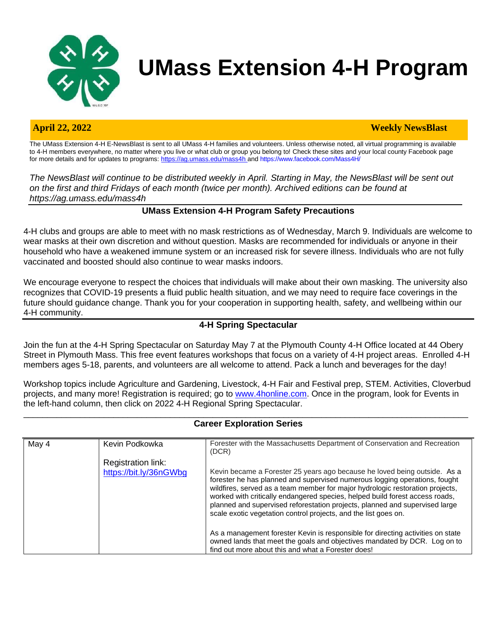

# **UMass Extension 4-H Program**

#### **April 22, 2022 Weekly NewsBlast**

The UMass Extension 4-H E-NewsBlast is sent to all UMass 4-H families and volunteers. Unless otherwise noted, all virtual programming is available to 4-H members everywhere, no matter where you live or what club or group you belong to! Check these sites and your local county Facebook page for more details and for updates to programs[: https://ag.umass.edu/mass4h](https://ag.umass.edu/mass4h) and https:[//www.facebook.com/Mass4H/](http://www.facebook.com/Mass4H/)

*The NewsBlast will continue to be distributed weekly in April. Starting in May, the NewsBlast will be sent out on the first and third Fridays of each month (twice per month). Archived editions can be found at <https://ag.umass.edu/mass4h>*

#### **UMass Extension 4-H Program Safety Precautions**

4-H clubs and groups are able to meet with no mask restrictions as of Wednesday, March 9. Individuals are welcome to wear masks at their own discretion and without question. Masks are recommended for individuals or anyone in their household who have a weakened immune system or an increased risk for severe illness. Individuals who are not fully vaccinated and boosted should also continue to wear masks indoors.

We encourage everyone to respect the choices that individuals will make about their own masking. The university also recognizes that COVID-19 presents a fluid public health situation, and we may need to require face coverings in the future should guidance change. Thank you for your cooperation in supporting health, safety, and wellbeing within our 4-H community.

#### **4-H Spring Spectacular**

Join the fun at the 4-H Spring Spectacular on Saturday May 7 at the Plymouth County 4-H Office located at 44 Obery Street in Plymouth Mass. This free event features workshops that focus on a variety of 4-H project areas. Enrolled 4-H members ages 5-18, parents, and volunteers are all welcome to attend. Pack a lunch and beverages for the day!

Workshop topics include Agriculture and Gardening, Livestock, 4-H Fair and Festival prep, STEM. Activities, Cloverbud projects, and many more! Registration is required; go to [www.4honline.com.](http://www.4honline.com/) Once in the program, look for Events in the left-hand column, then click on 2022 4-H Regional Spring Spectacular.

#### $\_$  ,  $\_$  ,  $\_$  ,  $\_$  ,  $\_$  ,  $\_$  ,  $\_$  ,  $\_$  ,  $\_$  ,  $\_$  ,  $\_$  ,  $\_$  ,  $\_$  ,  $\_$  ,  $\_$  ,  $\_$  ,  $\_$  ,  $\_$  ,  $\_$  ,  $\_$  ,  $\_$  ,  $\_$  ,  $\_$  ,  $\_$  ,  $\_$  ,  $\_$  ,  $\_$  ,  $\_$  ,  $\_$  ,  $\_$  ,  $\_$  ,  $\_$  ,  $\_$  ,  $\_$  ,  $\_$  ,  $\_$  ,  $\_$  , **Career Exploration Series**

| May 4 | Kevin Podkowka         | Forester with the Massachusetts Department of Conservation and Recreation<br>(DCR)                                                                                                                                                                                                                                                                                                                                                                                         |
|-------|------------------------|----------------------------------------------------------------------------------------------------------------------------------------------------------------------------------------------------------------------------------------------------------------------------------------------------------------------------------------------------------------------------------------------------------------------------------------------------------------------------|
|       | Registration link:     |                                                                                                                                                                                                                                                                                                                                                                                                                                                                            |
|       | https://bit.ly/36nGWbg | Kevin became a Forester 25 years ago because he loved being outside. As a<br>forester he has planned and supervised numerous logging operations, fought<br>wildfires, served as a team member for major hydrologic restoration projects,<br>worked with critically endangered species, helped build forest access roads,<br>planned and supervised reforestation projects, planned and supervised large<br>scale exotic vegetation control projects, and the list goes on. |
|       |                        | As a management forester Kevin is responsible for directing activities on state<br>owned lands that meet the goals and objectives mandated by DCR. Log on to<br>find out more about this and what a Forester does!                                                                                                                                                                                                                                                         |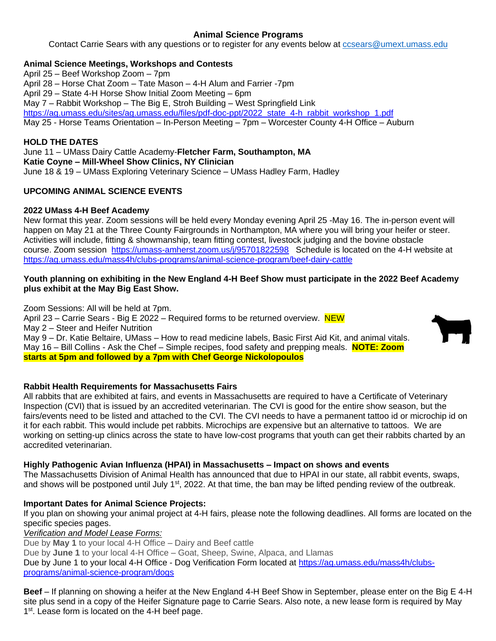### **Animal Science Programs**

Contact Carrie Sears with any questions or to register for any events below at [ccsears@umext.umass.edu](mailto:ccsears@umext.umass.edu)

#### **Animal Science Meetings, Workshops and Contests**

April 25 – Beef Workshop Zoom – 7pm April 28 – Horse Chat Zoom – Tate Mason – 4-H Alum and Farrier -7pm April 29 – State 4-H Horse Show Initial Zoom Meeting – 6pm May 7 – Rabbit Workshop – The Big E, Stroh Building – West Springfield Link [https://ag.umass.edu/sites/ag.umass.edu/files/pdf-doc-ppt/2022\\_state\\_4-h\\_rabbit\\_workshop\\_1.pdf](https://ag.umass.edu/sites/ag.umass.edu/files/pdf-doc-ppt/2022_state_4-h_rabbit_workshop_1.pdf) May 25 - Horse Teams Orientation – In-Person Meeting – 7pm – Worcester County 4-H Office – Auburn

#### **HOLD THE DATES**

June 11 – UMass Dairy Cattle Academy-**Fletcher Farm, Southampton, MA Katie Coyne – Mill-Wheel Show Clinics, NY Clinician** June 18 & 19 – UMass Exploring Veterinary Science – UMass Hadley Farm, Hadley

### **UPCOMING ANIMAL SCIENCE EVENTS**

#### **2022 UMass 4-H Beef Academy**

New format this year. Zoom sessions will be held every Monday evening April 25 -May 16. The in-person event will happen on May 21 at the Three County Fairgrounds in Northampton, MA where you will bring your heifer or steer. Activities will include, fitting & showmanship, team fitting contest, livestock judging and the bovine obstacle course. Zoom session <https://umass-amherst.zoom.us/j/95701822598>Schedule is located on the 4-H website at <https://ag.umass.edu/mass4h/clubs-programs/animal-science-program/beef-dairy-cattle>

#### **Youth planning on exhibiting in the New England 4-H Beef Show must participate in the 2022 Beef Academy plus exhibit at the May Big East Show.**

Zoom Sessions: All will be held at 7pm. April 23 – Carrie Sears - Big E 2022 – Required forms to be returned overview. NEW May 2 – Steer and Heifer Nutrition May 9 – Dr. Katie Beltaire, UMass – How to read medicine labels, Basic First Aid Kit, and animal vitals. May 16 – Bill Collins - Ask the Chef – Simple recipes, food safety and prepping meals. **NOTE: Zoom starts at 5pm and followed by a 7pm with Chef George Nickolopoulos**



#### **Rabbit Health Requirements for Massachusetts Fairs**

All rabbits that are exhibited at fairs, and events in Massachusetts are required to have a Certificate of Veterinary Inspection (CVI) that is issued by an accredited veterinarian. The CVI is good for the entire show season, but the fairs/events need to be listed and attached to the CVI. The CVI needs to have a permanent tattoo id or microchip id on it for each rabbit. This would include pet rabbits. Microchips are expensive but an alternative to tattoos. We are working on setting-up clinics across the state to have low-cost programs that youth can get their rabbits charted by an accredited veterinarian.

#### **Highly Pathogenic Avian Influenza (HPAI) in Massachusetts – Impact on shows and events**

The Massachusetts Division of Animal Health has announced that due to HPAI in our state, all rabbit events, swaps, and shows will be postponed until July  $1<sup>st</sup>$ , 2022. At that time, the ban may be lifted pending review of the outbreak.

#### **Important Dates for Animal Science Projects:**

If you plan on showing your animal project at 4-H fairs, please note the following deadlines. All forms are located on the specific species pages.

*Verification and Model Lease Forms:*

Due by **May 1** to your local 4-H Office – Dairy and Beef cattle

Due by **June 1** to your local 4-H Office – Goat, Sheep, Swine, Alpaca, and Llamas

Due by June 1 to your local 4-H Office - Dog Verification Form located at [https://ag.umass.edu/mass4h/clubs](https://ag.umass.edu/mass4h/clubs-programs/animal-science-program/dogs)[programs/animal-science-program/dogs](https://ag.umass.edu/mass4h/clubs-programs/animal-science-program/dogs)

**Beef** – If planning on showing a heifer at the New England 4-H Beef Show in September, please enter on the Big E 4-H site plus send in a copy of the Heifer Signature page to Carrie Sears. Also note, a new lease form is required by May 1<sup>st</sup>. Lease form is located on the 4-H beef page.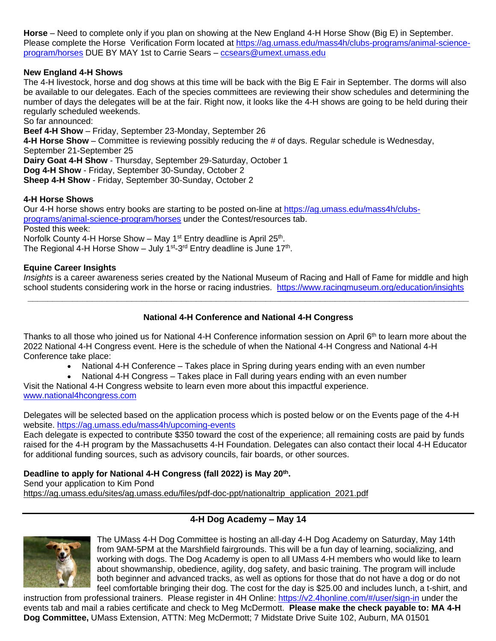**Horse** – Need to complete only if you plan on showing at the New England 4-H Horse Show (Big E) in September. Please complete the Horse Verification Form located at [https://ag.umass.edu/mass4h/clubs-programs/animal-science](https://ag.umass.edu/mass4h/clubs-programs/animal-science-program/horses)[program/horses](https://ag.umass.edu/mass4h/clubs-programs/animal-science-program/horses) DUE BY MAY 1st to Carrie Sears – [ccsears@umext.umass.edu](mailto:ccsears@umext.umass.edu)

#### **New England 4-H Shows**

The 4-H livestock, horse and dog shows at this time will be back with the Big E Fair in September. The dorms will also be available to our delegates. Each of the species committees are reviewing their show schedules and determining the number of days the delegates will be at the fair. Right now, it looks like the 4-H shows are going to be held during their regularly scheduled weekends.

So far announced:

**Beef 4-H Show** – Friday, September 23-Monday, September 26

**4-H Horse Show** – Committee is reviewing possibly reducing the # of days. Regular schedule is Wednesday, September 21-September 25

**Dairy Goat 4-H Show** - Thursday, September 29-Saturday, October 1

**Dog 4-H Show** - Friday, September 30-Sunday, October 2

**Sheep 4-H Show** - Friday, September 30-Sunday, October 2

#### **4-H Horse Shows**

Our 4-H horse shows entry books are starting to be posted on-line at [https://ag.umass.edu/mass4h/clubs](https://ag.umass.edu/mass4h/clubs-programs/animal-science-program/horses)[programs/animal-science-program/horses](https://ag.umass.edu/mass4h/clubs-programs/animal-science-program/horses) under the Contest/resources tab. Posted this week: Norfolk County 4-H Horse Show – May 1<sup>st</sup> Entry deadline is April 25<sup>th</sup>. The Regional 4-H Horse Show  $-$  July 1<sup>st</sup>-3<sup>rd</sup> Entry deadline is June 17<sup>th</sup>.

#### **Equine Career Insights**

*Insights* is a career awareness series created by the National Museum of Racing and Hall of Fame for middle and high school students considering work in the horse or racing industries. <https://www.racingmuseum.org/education/insights> **\_\_\_\_\_\_\_\_\_\_\_\_\_\_\_\_\_\_\_\_\_\_\_\_\_\_\_\_\_\_\_\_\_\_\_\_\_\_\_\_\_\_\_\_\_\_\_\_\_\_\_\_\_\_\_\_\_\_\_\_\_\_\_\_\_\_\_\_\_\_\_\_\_\_\_\_\_\_\_\_\_\_\_\_\_\_\_\_\_**

#### **National 4-H Conference and National 4-H Congress**

Thanks to all those who joined us for National 4-H Conference information session on April  $6<sup>th</sup>$  to learn more about the 2022 National 4-H Congress event. Here is the schedule of when the National 4-H Congress and National 4-H Conference take place:

- National 4-H Conference Takes place in Spring during years ending with an even number
- National 4-H Congress Takes place in Fall during years ending with an even number

Visit the National 4-H Congress website to learn even more about this impactful experience. [www.national4hcongress.com](http://www.national4hcongress.com/)

Delegates will be selected based on the application process which is posted below or on the Events page of the 4-H website. <https://ag.umass.edu/mass4h/upcoming-events>

Each delegate is expected to contribute \$350 toward the cost of the experience; all remaining costs are paid by funds raised for the 4-H program by the Massachusetts 4-H Foundation. Delegates can also contact their local 4-H Educator for additional funding sources, such as advisory councils, fair boards, or other sources.

#### **Deadline to apply for National 4-H Congress (fall 2022) is May 20th .**

Send your application to Kim Pond

[https://ag.umass.edu/sites/ag.umass.edu/files/pdf-doc-ppt/nationaltrip\\_application\\_2021.pdf](https://ag.umass.edu/sites/ag.umass.edu/files/pdf-doc-ppt/nationaltrip_application_2021.pdf)

### **4-H Dog Academy – May 14**



The UMass 4-H Dog Committee is hosting an all-day 4-H Dog Academy on Saturday, May 14th from 9AM-5PM at the Marshfield fairgrounds. This will be a fun day of learning, socializing, and working with dogs. The Dog Academy is open to all UMass 4-H members who would like to learn about showmanship, obedience, agility, dog safety, and basic training. The program will include both beginner and advanced tracks, as well as options for those that do not have a dog or do not feel comfortable bringing their dog. The cost for the day is \$25.00 and includes lunch, a t-shirt, and

instruction from professional trainers. Please register in 4H Online: <https://v2.4honline.com/#/user/sign-in> under the events tab and mail a rabies certificate and check to Meg McDermott. **Please make the check payable to: MA 4-H Dog Committee,** UMass Extension, ATTN: Meg McDermott; 7 Midstate Drive Suite 102, Auburn, MA 01501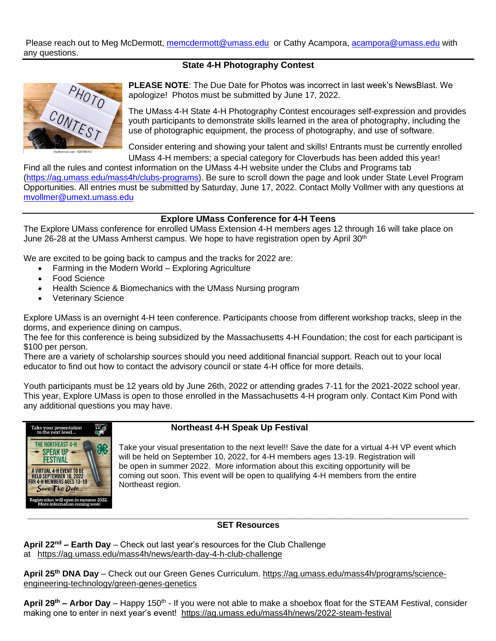Please reach out to Meg McDermott, [memcdermott@umass.edu](mailto:memcdermott@umass.edu) or Cathy Acampora, [acampora@umass.edu](mailto:acampora@umass.edu) with any questions.

#### **State 4-H Photography Contest**



**PLEASE NOTE**: The Due Date for Photos was incorrect in last week's NewsBlast. We apologize! Photos must be submitted by June 17, 2022.

The UMass 4-H State 4-H Photography Contest encourages self-expression and provides youth participants to demonstrate skills learned in the area of photography, including the use of photographic equipment, the process of photography, and use of software.

Consider entering and showing your talent and skills! Entrants must be currently enrolled UMass 4-H members; a special category for Cloverbuds has been added this year!

Find all the rules and contest information on the UMass 4-H website under the Clubs and Programs tab [\(https://ag.umass.edu/mass4h/clubs-programs\)](https://ag.umass.edu/mass4h/clubs-programs). Be sure to scroll down the page and look under State Level Program Opportunities. All entries must be submitted by Saturday, June 17, 2022. Contact Molly Vollmer with any questions at [mvollmer@umext.umass.edu](mailto:mvollmer@umext.umass.edu)

#### **Explore UMass Conference for 4-H Teens**

The Explore UMass conference for enrolled UMass Extension 4-H members ages 12 through 16 will take place on June 26-28 at the UMass Amherst campus. We hope to have registration open by April 30<sup>th</sup>

We are excited to be going back to campus and the tracks for 2022 are:

- Farming in the Modern World Exploring Agriculture
- Food Science
- Health Science & Biomechanics with the UMass Nursing program
- Veterinary Science

Explore UMass is an overnight 4-H teen conference. Participants choose from different workshop tracks, sleep in the dorms, and experience dining on campus.

The fee for this conference is being subsidized by the Massachusetts 4-H Foundation; the cost for each participant is \$100 per person.

There are a variety of scholarship sources should you need additional financial support. Reach out to your local educator to find out how to contact the advisory council or state 4-H office for more details.

Youth participants must be 12 years old by June 26th, 2022 or attending grades 7-11 for the 2021-2022 school year. This year, Explore UMass is open to those enrolled in the Massachusetts 4-H program only. Contact Kim Pond with any additional questions you may have.



#### **Northeast 4-H Speak Up Festival**

Take your visual presentation to the next level!! Save the date for a virtual 4-H VP event which will be held on September 10, 2022, for 4-H members ages 13-19. Registration will be open in summer 2022. More information about this exciting opportunity will be coming out soon. This event will be open to qualifying 4-H members from the entire Northeast region.

#### **SET Resources**

**April 22nd – Earth Day** – Check out last year's resources for the Club Challenge at <https://ag.umass.edu/mass4h/news/earth-day-4-h-club-challenge>

**April 25th DNA Day** – Check out our Green Genes Curriculum. [https://ag.umass.edu/mass4h/programs/science](https://ag.umass.edu/mass4h/programs/science-engineering-technology/green-genes-genetics)[engineering-technology/green-genes-genetics](https://ag.umass.edu/mass4h/programs/science-engineering-technology/green-genes-genetics)

April 29<sup>th</sup> – Arbor Day – Happy 150<sup>th</sup> - If you were not able to make a shoebox float for the STEAM Festival, consider making one to enter in next year's event! <https://ag.umass.edu/mass4h/news/2022-steam-festival>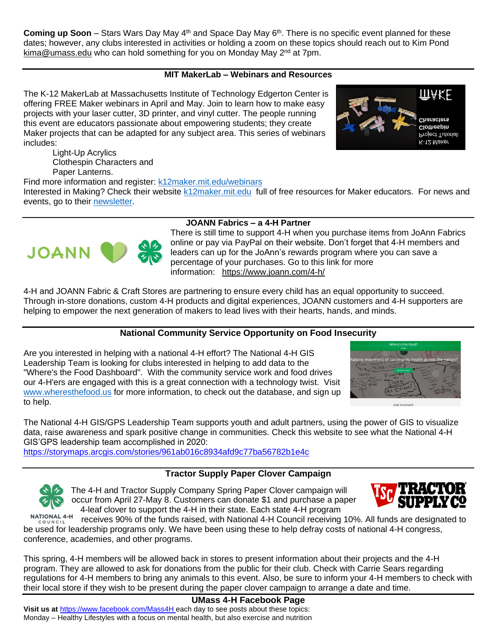**Coming up Soon** – Stars Wars Day May 4<sup>th</sup> and Space Day May 6<sup>th</sup>. There is no specific event planned for these dates; however, any clubs interested in activities or holding a zoom on these topics should reach out to Kim Pond [kima@umass.edu](mailto:kima@umass.edu) who can hold something for you on Monday May  $2^{nd}$  at 7pm.

## **MIT MakerLab – Webinars and Resources**

The K-12 MakerLab at Massachusetts Institute of Technology Edgerton Center is offering FREE Maker webinars in April and May. Join to learn how to make easy projects with your laser cutter, 3D printer, and vinyl cutter. The people running this event are educators passionate about empowering students; they create Maker projects that can be adapted for any subject area. This series of webinars includes:

Light-Up Acrylics Clothespin Characters and Paper Lanterns.

Find more information and register: [k12maker.mit.edu/webinars](http://k12maker.mit.edu/webinars.html)

Interested in Making? Check their website [k12maker.mit.edu](http://k12maker.mit.edu/) full of free resources for Maker educators. For news and events, go to their [newsletter.](https://us4.campaign-archive.com/?u=0b81ad88ff1af2c5e6a7b05a8&id=707d6170eb)

# **JOANN Fabrics – a 4-H Partner**

There is still time to support 4-H when you purchase items from JoAnn Fabrics online or pay via PayPal on their website. Don't forget that 4-H members and leaders can up for the JoAnn's rewards program where you can save a percentage of your purchases. Go to this link for more information: <https://www.joann.com/4-h/>

4-H and JOANN Fabric & Craft Stores are partnering to ensure every child has an equal opportunity to succeed. Through in-store donations, custom 4-H products and digital experiences, JOANN customers and 4-H supporters are helping to empower the next generation of makers to lead lives with their hearts, hands, and minds.

# **National Community Service Opportunity on Food Insecurity**

Are you interested in helping with a national 4-H effort? The National 4-H GIS Leadership Team is looking for clubs interested in helping to add data to the "Where's the Food Dashboard". With the community service work and food drives our 4-H'ers are engaged with this is a great connection with a technology twist. Visit [www.wheresthefood.us](http://www.wheresthefood.us/) for more information, to check out the database, and sign up to help.

The National 4-H GIS/GPS Leadership Team supports youth and adult partners, using the power of GIS to visualize data, raise awareness and spark positive change in communities. Check this website to see what the National 4-H GIS'GPS leadership team accomplished in 2020:

<https://storymaps.arcgis.com/stories/961ab016c8934afd9c77ba56782b1e4c>

# **Tractor Supply Paper Clover Campaign**

The 4-H and Tractor Supply Company Spring Paper Clover campaign will occur from April 27-May 8. Customers can donate \$1 and purchase a paper 4-leaf clover to support the 4-H in their state. Each state 4-H program

**NATIONAL 4-H** receives 90% of the funds raised, with National 4-H Council receiving 10%. All funds are designated to be used for leadership programs only. We have been using these to help defray costs of national 4-H congress, conference, academies, and other programs.

This spring, 4-H members will be allowed back in stores to present information about their projects and the 4-H program. They are allowed to ask for donations from the public for their club. Check with Carrie Sears regarding regulations for 4-H members to bring any animals to this event. Also, be sure to inform your 4-H members to check with their local store if they wish to be present during the paper clover campaign to arrange a date and time.

**Visit us at** <https://www.facebook.com/Mass4H> each day to see posts about these topics: Monday – Healthy Lifestyles with a focus on mental health, but also exercise and nutrition











**UMass 4-H Facebook Page**